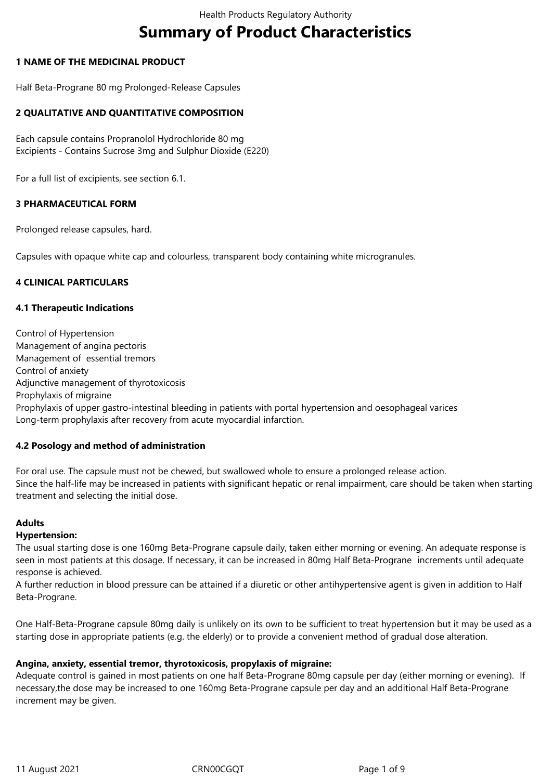# **Summary of Product Characteristics**

## **1 NAME OF THE MEDICINAL PRODUCT**

Half Beta-Prograne 80 mg Prolonged-Release Capsules

## **2 QUALITATIVE AND QUANTITATIVE COMPOSITION**

Each capsule contains Propranolol Hydrochloride 80 mg Excipients - Contains Sucrose 3mg and Sulphur Dioxide (E220)

For a full list of excipients, see section 6.1.

## **3 PHARMACEUTICAL FORM**

Prolonged release capsules, hard.

Capsules with opaque white cap and colourless, transparent body containing white microgranules.

## **4 CLINICAL PARTICULARS**

## **4.1 Therapeutic Indications**

Control of Hypertension Management of angina pectoris Management of essential tremors Control of anxiety Adjunctive management of thyrotoxicosis Prophylaxis of migraine Prophylaxis of upper gastro-intestinal bleeding in patients with portal hypertension and oesophageal varices Long-term prophylaxis after recovery from acute myocardial infarction.

## **4.2 Posology and method of administration**

For oral use. The capsule must not be chewed, but swallowed whole to ensure a prolonged release action. Since the half-life may be increased in patients with significant hepatic or renal impairment, care should be taken when starting treatment and selecting the initial dose.

## **Adults**

## **Hypertension:**

The usual starting dose is one 160mg Beta-Prograne capsule daily, taken either morning or evening. An adequate response is seen in most patients at this dosage. If necessary, it can be increased in 80mg Half Beta-Prograne increments until adequate response is achieved.

A further reduction in blood pressure can be attained if a diuretic or other antihypertensive agent is given in addition to Half Beta-Prograne.

One Half-Beta-Prograne capsule 80mg daily is unlikely on its own to be sufficient to treat hypertension but it may be used as a starting dose in appropriate patients (e.g. the elderly) or to provide a convenient method of gradual dose alteration.

## **Angina, anxiety, essential tremor, thyrotoxicosis, propylaxis of migraine:**

Adequate control is gained in most patients on one half Beta-Prograne 80mg capsule per day (either morning or evening). If necessary,the dose may be increased to one 160mg Beta-Prograne capsule per day and an additional Half Beta-Prograne increment may be given.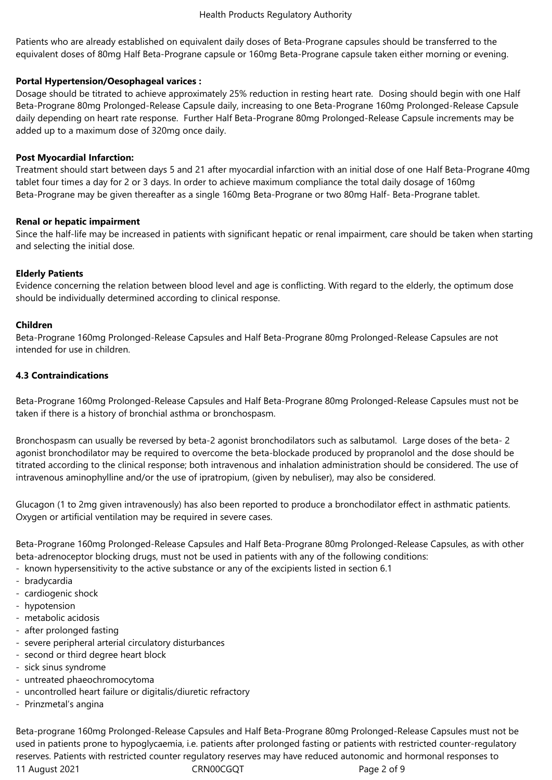Patients who are already established on equivalent daily doses of Beta-Prograne capsules should be transferred to the equivalent doses of 80mg Half Beta-Prograne capsule or 160mg Beta-Prograne capsule taken either morning or evening.

## **Portal Hypertension/Oesophageal varices :**

Dosage should be titrated to achieve approximately 25% reduction in resting heart rate. Dosing should begin with one Half Beta-Prograne 80mg Prolonged-Release Capsule daily, increasing to one Beta-Prograne 160mg Prolonged-Release Capsule daily depending on heart rate response. Further Half Beta-Prograne 80mg Prolonged-Release Capsule increments may be added up to a maximum dose of 320mg once daily.

## **Post Myocardial Infarction:**

Treatment should start between days 5 and 21 after myocardial infarction with an initial dose of one Half Beta-Prograne 40mg tablet four times a day for 2 or 3 days. In order to achieve maximum compliance the total daily dosage of 160mg Beta-Prograne may be given thereafter as a single 160mg Beta-Prograne or two 80mg Half- Beta-Prograne tablet.

## **Renal or hepatic impairment**

Since the half-life may be increased in patients with significant hepatic or renal impairment, care should be taken when starting and selecting the initial dose.

## **Elderly Patients**

Evidence concerning the relation between blood level and age is conflicting. With regard to the elderly, the optimum dose should be individually determined according to clinical response.

## **Children**

Beta-Prograne 160mg Prolonged-Release Capsules and Half Beta-Prograne 80mg Prolonged-Release Capsules are not intended for use in children.

# **4.3 Contraindications**

Beta-Prograne 160mg Prolonged-Release Capsules and Half Beta-Prograne 80mg Prolonged-Release Capsules must not be taken if there is a history of bronchial asthma or bronchospasm.

Bronchospasm can usually be reversed by beta-2 agonist bronchodilators such as salbutamol. Large doses of the beta- 2 agonist bronchodilator may be required to overcome the beta-blockade produced by propranolol and the dose should be titrated according to the clinical response; both intravenous and inhalation administration should be considered. The use of intravenous aminophylline and/or the use of ipratropium, (given by nebuliser), may also be considered.

Glucagon (1 to 2mg given intravenously) has also been reported to produce a bronchodilator effect in asthmatic patients. Oxygen or artificial ventilation may be required in severe cases.

Beta-Prograne 160mg Prolonged-Release Capsules and Half Beta-Prograne 80mg Prolonged-Release Capsules, as with other beta-adrenoceptor blocking drugs, must not be used in patients with any of the following conditions:

- known hypersensitivity to the active substance or any of the excipients listed in section 6.1
- bradycardia
- cardiogenic shock
- hypotension
- metabolic acidosis
- after prolonged fasting
- severe peripheral arterial circulatory disturbances
- second or third degree heart block
- sick sinus syndrome
- untreated phaeochromocytoma
- uncontrolled heart failure or digitalis/diuretic refractory
- Prinzmetal's angina

11 August 2021 **CRNOOCGQT** Page 2 of 9 Beta-prograne 160mg Prolonged-Release Capsules and Half Beta-Prograne 80mg Prolonged-Release Capsules must not be used in patients prone to hypoglycaemia, i.e. patients after prolonged fasting or patients with restricted counter-regulatory reserves. Patients with restricted counter regulatory reserves may have reduced autonomic and hormonal responses to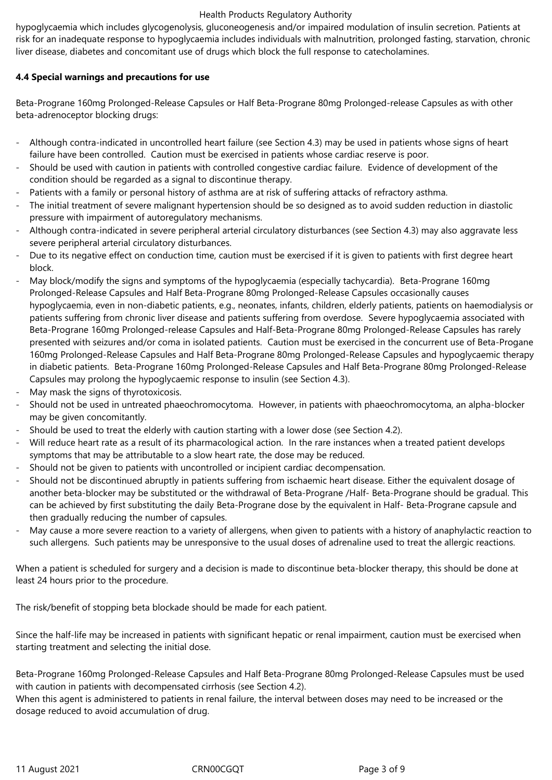hypoglycaemia which includes glycogenolysis, gluconeogenesis and/or impaired modulation of insulin secretion. Patients at risk for an inadequate response to hypoglycaemia includes individuals with malnutrition, prolonged fasting, starvation, chronic liver disease, diabetes and concomitant use of drugs which block the full response to catecholamines.

# **4.4 Special warnings and precautions for use**

Beta-Prograne 160mg Prolonged-Release Capsules or Half Beta-Prograne 80mg Prolonged-release Capsules as with other beta-adrenoceptor blocking drugs:

- Although contra-indicated in uncontrolled heart failure (see Section 4.3) may be used in patients whose signs of heart failure have been controlled. Caution must be exercised in patients whose cardiac reserve is poor.
- Should be used with caution in patients with controlled congestive cardiac failure. Evidence of development of the condition should be regarded as a signal to discontinue therapy.
- Patients with a family or personal history of asthma are at risk of suffering attacks of refractory asthma.
- The initial treatment of severe malignant hypertension should be so designed as to avoid sudden reduction in diastolic pressure with impairment of autoregulatory mechanisms.
- Although contra-indicated in severe peripheral arterial circulatory disturbances (see Section 4.3) may also aggravate less severe peripheral arterial circulatory disturbances.
- Due to its negative effect on conduction time, caution must be exercised if it is given to patients with first degree heart block.
- May block/modify the signs and symptoms of the hypoglycaemia (especially tachycardia). Beta-Prograne 160mg Prolonged-Release Capsules and Half Beta-Prograne 80mg Prolonged-Release Capsules occasionally causes hypoglycaemia, even in non-diabetic patients, e.g., neonates, infants, children, elderly patients, patients on haemodialysis or patients suffering from chronic liver disease and patients suffering from overdose. Severe hypoglycaemia associated with Beta-Prograne 160mg Prolonged-release Capsules and Half-Beta-Prograne 80mg Prolonged-Release Capsules has rarely presented with seizures and/or coma in isolated patients. Caution must be exercised in the concurrent use of Beta-Progane 160mg Prolonged-Release Capsules and Half Beta-Prograne 80mg Prolonged-Release Capsules and hypoglycaemic therapy in diabetic patients. Beta-Prograne 160mg Prolonged-Release Capsules and Half Beta-Prograne 80mg Prolonged-Release Capsules may prolong the hypoglycaemic response to insulin (see Section 4.3).
- May mask the signs of thyrotoxicosis.
- Should not be used in untreated phaeochromocytoma. However, in patients with phaeochromocytoma, an alpha-blocker may be given concomitantly.
- Should be used to treat the elderly with caution starting with a lower dose (see Section 4.2).
- Will reduce heart rate as a result of its pharmacological action. In the rare instances when a treated patient develops symptoms that may be attributable to a slow heart rate, the dose may be reduced.
- Should not be given to patients with uncontrolled or incipient cardiac decompensation.
- Should not be discontinued abruptly in patients suffering from ischaemic heart disease. Either the equivalent dosage of another beta-blocker may be substituted or the withdrawal of Beta-Prograne /Half- Beta-Prograne should be gradual. This can be achieved by first substituting the daily Beta-Prograne dose by the equivalent in Half- Beta-Prograne capsule and then gradually reducing the number of capsules.
- May cause a more severe reaction to a variety of allergens, when given to patients with a history of anaphylactic reaction to such allergens. Such patients may be unresponsive to the usual doses of adrenaline used to treat the allergic reactions.

When a patient is scheduled for surgery and a decision is made to discontinue beta-blocker therapy, this should be done at least 24 hours prior to the procedure.

The risk/benefit of stopping beta blockade should be made for each patient.

Since the half-life may be increased in patients with significant hepatic or renal impairment, caution must be exercised when starting treatment and selecting the initial dose.

Beta-Prograne 160mg Prolonged-Release Capsules and Half Beta-Prograne 80mg Prolonged-Release Capsules must be used with caution in patients with decompensated cirrhosis (see Section 4.2).

When this agent is administered to patients in renal failure, the interval between doses may need to be increased or the dosage reduced to avoid accumulation of drug.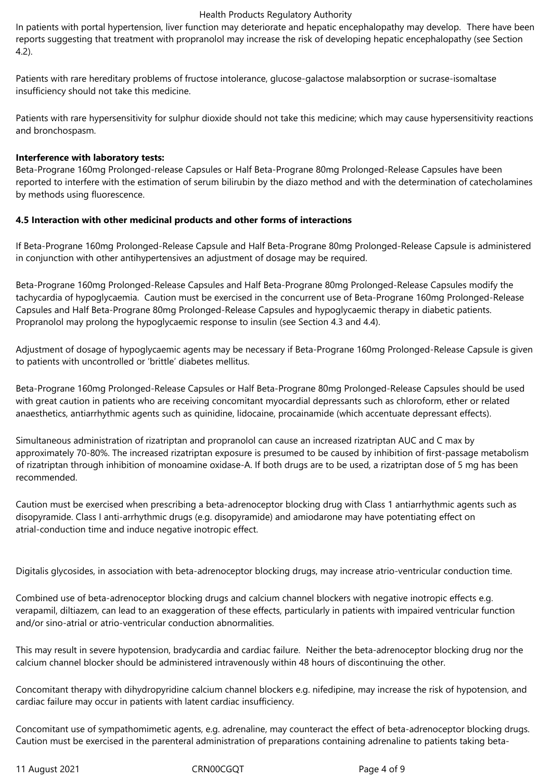In patients with portal hypertension, liver function may deteriorate and hepatic encephalopathy may develop. There have been reports suggesting that treatment with propranolol may increase the risk of developing hepatic encephalopathy (see Section 4.2).

Patients with rare hereditary problems of fructose intolerance, glucose-galactose malabsorption or sucrase-isomaltase insufficiency should not take this medicine.

Patients with rare hypersensitivity for sulphur dioxide should not take this medicine; which may cause hypersensitivity reactions and bronchospasm.

#### **Interference with laboratory tests:**

Beta-Prograne 160mg Prolonged-release Capsules or Half Beta-Prograne 80mg Prolonged-Release Capsules have been reported to interfere with the estimation of serum bilirubin by the diazo method and with the determination of catecholamines by methods using fluorescence.

## **4.5 Interaction with other medicinal products and other forms of interactions**

If Beta-Prograne 160mg Prolonged-Release Capsule and Half Beta-Prograne 80mg Prolonged-Release Capsule is administered in conjunction with other antihypertensives an adjustment of dosage may be required.

Beta-Prograne 160mg Prolonged-Release Capsules and Half Beta-Prograne 80mg Prolonged-Release Capsules modify the tachycardia of hypoglycaemia. Caution must be exercised in the concurrent use of Beta-Prograne 160mg Prolonged-Release Capsules and Half Beta-Prograne 80mg Prolonged-Release Capsules and hypoglycaemic therapy in diabetic patients. Propranolol may prolong the hypoglycaemic response to insulin (see Section 4.3 and 4.4).

Adjustment of dosage of hypoglycaemic agents may be necessary if Beta-Prograne 160mg Prolonged-Release Capsule is given to patients with uncontrolled or 'brittle' diabetes mellitus.

Beta-Prograne 160mg Prolonged-Release Capsules or Half Beta-Prograne 80mg Prolonged-Release Capsules should be used with great caution in patients who are receiving concomitant myocardial depressants such as chloroform, ether or related anaesthetics, antiarrhythmic agents such as quinidine, lidocaine, procainamide (which accentuate depressant effects).

Simultaneous administration of rizatriptan and propranolol can cause an increased rizatriptan AUC and C max by approximately 70-80%. The increased rizatriptan exposure is presumed to be caused by inhibition of first-passage metabolism of rizatriptan through inhibition of monoamine oxidase-A. If both drugs are to be used, a rizatriptan dose of 5 mg has been recommended.

Caution must be exercised when prescribing a beta-adrenoceptor blocking drug with Class 1 antiarrhythmic agents such as disopyramide. Class I anti-arrhythmic drugs (e.g. disopyramide) and amiodarone may have potentiating effect on atrial-conduction time and induce negative inotropic effect.

Digitalis glycosides, in association with beta-adrenoceptor blocking drugs, may increase atrio-ventricular conduction time.

Combined use of beta-adrenoceptor blocking drugs and calcium channel blockers with negative inotropic effects e.g. verapamil, diltiazem, can lead to an exaggeration of these effects, particularly in patients with impaired ventricular function and/or sino-atrial or atrio-ventricular conduction abnormalities.

This may result in severe hypotension, bradycardia and cardiac failure. Neither the beta-adrenoceptor blocking drug nor the calcium channel blocker should be administered intravenously within 48 hours of discontinuing the other.

Concomitant therapy with dihydropyridine calcium channel blockers e.g. nifedipine, may increase the risk of hypotension, and cardiac failure may occur in patients with latent cardiac insufficiency.

Concomitant use of sympathomimetic agents, e.g. adrenaline, may counteract the effect of beta-adrenoceptor blocking drugs. Caution must be exercised in the parenteral administration of preparations containing adrenaline to patients taking beta-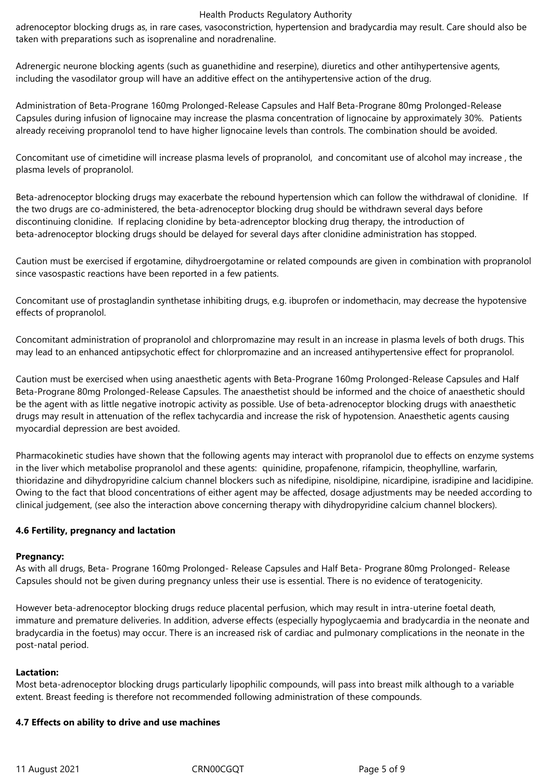adrenoceptor blocking drugs as, in rare cases, vasoconstriction, hypertension and bradycardia may result. Care should also be taken with preparations such as isoprenaline and noradrenaline.

Adrenergic neurone blocking agents (such as guanethidine and reserpine), diuretics and other antihypertensive agents, including the vasodilator group will have an additive effect on the antihypertensive action of the drug.

Administration of Beta-Prograne 160mg Prolonged-Release Capsules and Half Beta-Prograne 80mg Prolonged-Release Capsules during infusion of lignocaine may increase the plasma concentration of lignocaine by approximately 30%. Patients already receiving propranolol tend to have higher lignocaine levels than controls. The combination should be avoided.

Concomitant use of cimetidine will increase plasma levels of propranolol, and concomitant use of alcohol may increase , the plasma levels of propranolol.

Beta-adrenoceptor blocking drugs may exacerbate the rebound hypertension which can follow the withdrawal of clonidine. If the two drugs are co-administered, the beta-adrenoceptor blocking drug should be withdrawn several days before discontinuing clonidine. If replacing clonidine by beta-adrenceptor blocking drug therapy, the introduction of beta-adrenoceptor blocking drugs should be delayed for several days after clonidine administration has stopped.

Caution must be exercised if ergotamine, dihydroergotamine or related compounds are given in combination with propranolol since vasospastic reactions have been reported in a few patients.

Concomitant use of prostaglandin synthetase inhibiting drugs, e.g. ibuprofen or indomethacin, may decrease the hypotensive effects of propranolol.

Concomitant administration of propranolol and chlorpromazine may result in an increase in plasma levels of both drugs. This may lead to an enhanced antipsychotic effect for chlorpromazine and an increased antihypertensive effect for propranolol.

Caution must be exercised when using anaesthetic agents with Beta-Prograne 160mg Prolonged-Release Capsules and Half Beta-Prograne 80mg Prolonged-Release Capsules. The anaesthetist should be informed and the choice of anaesthetic should be the agent with as little negative inotropic activity as possible. Use of beta-adrenoceptor blocking drugs with anaesthetic drugs may result in attenuation of the reflex tachycardia and increase the risk of hypotension. Anaesthetic agents causing myocardial depression are best avoided.

Pharmacokinetic studies have shown that the following agents may interact with propranolol due to effects on enzyme systems in the liver which metabolise propranolol and these agents: quinidine, propafenone, rifampicin, theophylline, warfarin, thioridazine and dihydropyridine calcium channel blockers such as nifedipine, nisoldipine, nicardipine, isradipine and lacidipine. Owing to the fact that blood concentrations of either agent may be affected, dosage adjustments may be needed according to clinical judgement, (see also the interaction above concerning therapy with dihydropyridine calcium channel blockers).

# **4.6 Fertility, pregnancy and lactation**

## **Pregnancy:**

As with all drugs, Beta- Prograne 160mg Prolonged- Release Capsules and Half Beta- Prograne 80mg Prolonged- Release Capsules should not be given during pregnancy unless their use is essential. There is no evidence of teratogenicity.

However beta-adrenoceptor blocking drugs reduce placental perfusion, which may result in intra-uterine foetal death, immature and premature deliveries. In addition, adverse effects (especially hypoglycaemia and bradycardia in the neonate and bradycardia in the foetus) may occur. There is an increased risk of cardiac and pulmonary complications in the neonate in the post-natal period.

## **Lactation:**

Most beta-adrenoceptor blocking drugs particularly lipophilic compounds, will pass into breast milk although to a variable extent. Breast feeding is therefore not recommended following administration of these compounds.

## **4.7 Effects on ability to drive and use machines**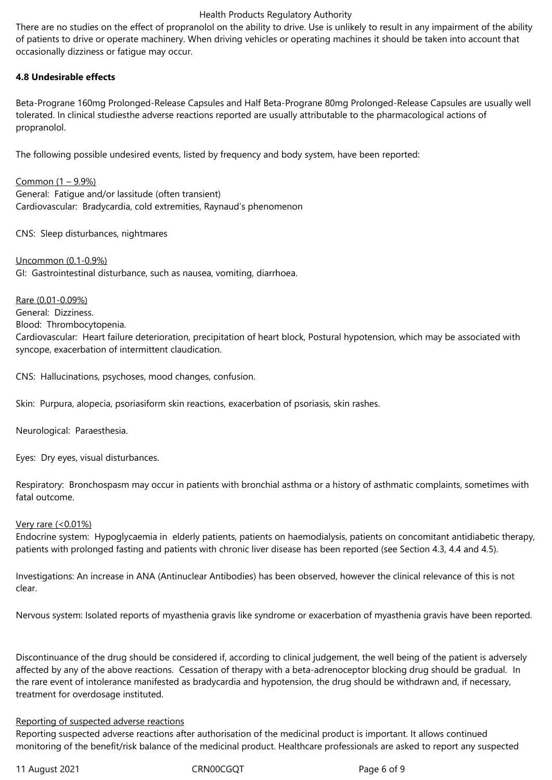There are no studies on the effect of propranolol on the ability to drive. Use is unlikely to result in any impairment of the ability of patients to drive or operate machinery. When driving vehicles or operating machines it should be taken into account that occasionally dizziness or fatigue may occur.

## **4.8 Undesirable effects**

Beta-Prograne 160mg Prolonged-Release Capsules and Half Beta-Prograne 80mg Prolonged-Release Capsules are usually well tolerated. In clinical studiesthe adverse reactions reported are usually attributable to the pharmacological actions of propranolol.

The following possible undesired events, listed by frequency and body system, have been reported:

Common (1 – 9.9%) General: Fatigue and/or lassitude (often transient) Cardiovascular: Bradycardia, cold extremities, Raynaud's phenomenon

CNS: Sleep disturbances, nightmares

Uncommon (0.1-0.9%) GI: Gastrointestinal disturbance, such as nausea, vomiting, diarrhoea.

Rare (0.01-0.09%) General: Dizziness. Blood: Thrombocytopenia. Cardiovascular: Heart failure deterioration, precipitation of heart block, Postural hypotension, which may be associated with syncope, exacerbation of intermittent claudication.

CNS: Hallucinations, psychoses, mood changes, confusion.

Skin: Purpura, alopecia, psoriasiform skin reactions, exacerbation of psoriasis, skin rashes.

Neurological: Paraesthesia.

Eyes: Dry eyes, visual disturbances.

Respiratory: Bronchospasm may occur in patients with bronchial asthma or a history of asthmatic complaints, sometimes with fatal outcome.

## Very rare (<0.01%)

Endocrine system: Hypoglycaemia in elderly patients, patients on haemodialysis, patients on concomitant antidiabetic therapy, patients with prolonged fasting and patients with chronic liver disease has been reported (see Section 4.3, 4.4 and 4.5).

Investigations: An increase in ANA (Antinuclear Antibodies) has been observed, however the clinical relevance of this is not clear.

Nervous system: Isolated reports of myasthenia gravis like syndrome or exacerbation of myasthenia gravis have been reported.

Discontinuance of the drug should be considered if, according to clinical judgement, the well being of the patient is adversely affected by any of the above reactions. Cessation of therapy with a beta-adrenoceptor blocking drug should be gradual. In the rare event of intolerance manifested as bradycardia and hypotension, the drug should be withdrawn and, if necessary, treatment for overdosage instituted.

## Reporting of suspected adverse reactions

Reporting suspected adverse reactions after authorisation of the medicinal product is important. It allows continued monitoring of the benefit/risk balance of the medicinal product. Healthcare professionals are asked to report any suspected

11 August 2021 **CRNOOCGQT** Page 6 of 9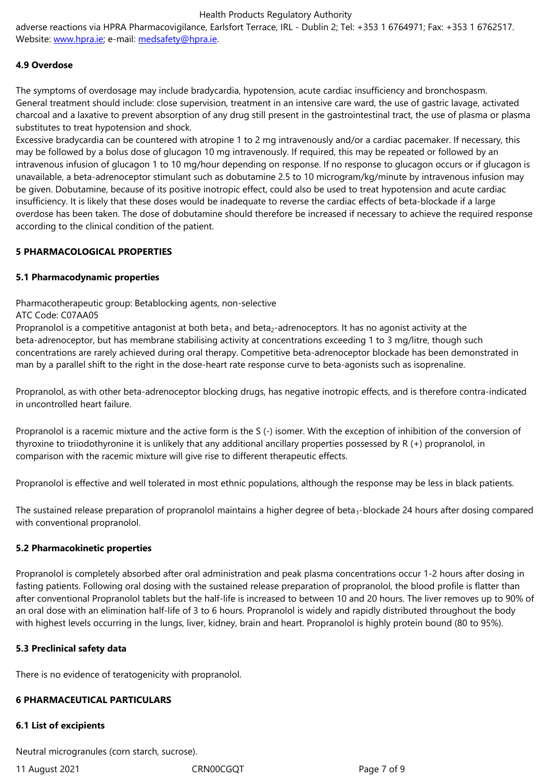## **4.9 Overdose**

The sym[ptoms of over](http://www.hpra.ie/)dosage [may include bradyc](mailto:medsafety@hpra.ie)ardia, hypotension, acute cardiac insufficiency and bronchospasm. General treatment should include: close supervision, treatment in an intensive care ward, the use of gastric lavage, activated charcoal and a laxative to prevent absorption of any drug still present in the gastrointestinal tract, the use of plasma or plasma substitutes to treat hypotension and shock.

Excessive bradycardia can be countered with atropine 1 to 2 mg intravenously and/or a cardiac pacemaker. If necessary, this may be followed by a bolus dose of glucagon 10 mg intravenously. If required, this may be repeated or followed by an intravenous infusion of glucagon 1 to 10 mg/hour depending on response. If no response to glucagon occurs or if glucagon is unavailable, a beta-adrenoceptor stimulant such as dobutamine 2.5 to 10 microgram/kg/minute by intravenous infusion may be given. Dobutamine, because of its positive inotropic effect, could also be used to treat hypotension and acute cardiac insufficiency. It is likely that these doses would be inadequate to reverse the cardiac effects of beta-blockade if a large overdose has been taken. The dose of dobutamine should therefore be increased if necessary to achieve the required response according to the clinical condition of the patient.

## **5 PHARMACOLOGICAL PROPERTIES**

#### **5.1 Pharmacodynamic properties**

Pharmacotherapeutic group: Betablocking agents, non-selective

## ATC Code: C07AA05

Propranolol is a competitive antagonist at both beta<sub>1</sub> and beta<sub>2</sub>-adrenoceptors. It has no agonist activity at the beta-adrenoceptor, but has membrane stabilising activity at concentrations exceeding 1 to 3 mg/litre, though such concentrations are rarely achieved during oral therapy. Competitive beta-adrenoceptor blockade has been demonstrated in man by a parallel shift to the right in the dose-heart rate response curve to beta-agonists such as isoprenaline.

Propranolol, as with other beta-adrenoceptor blocking drugs, has negative inotropic effects, and is therefore contra-indicated in uncontrolled heart failure.

Propranolol is a racemic mixture and the active form is the S (-) isomer. With the exception of inhibition of the conversion of thyroxine to triiodothyronine it is unlikely that any additional ancillary properties possessed by R (+) propranolol, in comparison with the racemic mixture will give rise to different therapeutic effects.

Propranolol is effective and well tolerated in most ethnic populations, although the response may be less in black patients.

The sustained release preparation of propranolol maintains a higher degree of beta<sub>1</sub>-blockade 24 hours after dosing compared with conventional propranolol.

## **5.2 Pharmacokinetic properties**

Propranolol is completely absorbed after oral administration and peak plasma concentrations occur 1-2 hours after dosing in fasting patients. Following oral dosing with the sustained release preparation of propranolol, the blood profile is flatter than after conventional Propranolol tablets but the half-life is increased to between 10 and 20 hours. The liver removes up to 90% of an oral dose with an elimination half-life of 3 to 6 hours. Propranolol is widely and rapidly distributed throughout the body with highest levels occurring in the lungs, liver, kidney, brain and heart. Propranolol is highly protein bound (80 to 95%).

## **5.3 Preclinical safety data**

There is no evidence of teratogenicity with propranolol.

# **6 PHARMACEUTICAL PARTICULARS**

# **6.1 List of excipients**

Neutral microgranules (corn starch, sucrose).

11 August 2021 CRN00CGQT Page 7 of 9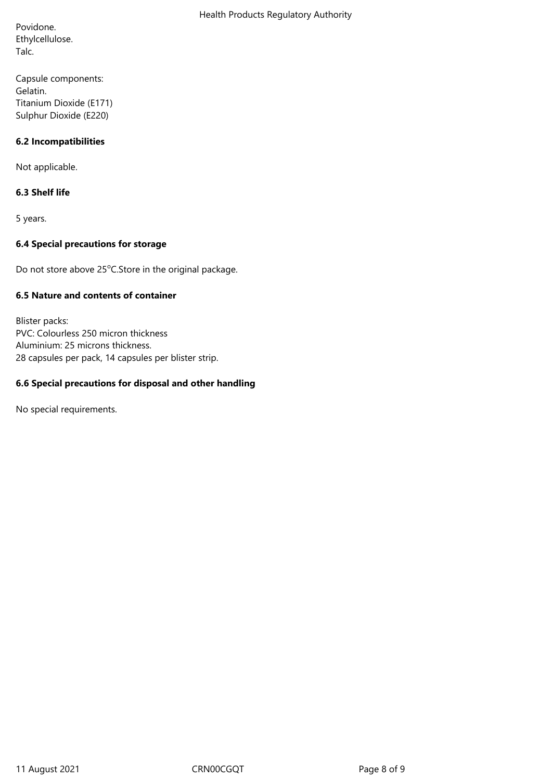Povidone. Ethylcellulose. Talc.

Capsule components: Gelatin. Titanium Dioxide (E171) Sulphur Dioxide (E220)

# **6.2 Incompatibilities**

Not applicable.

# **6.3 Shelf life**

5 years.

## **6.4 Special precautions for storage**

Do not store above 25°C.Store in the original package.

# **6.5 Nature and contents of container**

Blister packs: PVC: Colourless 250 micron thickness Aluminium: 25 microns thickness. 28 capsules per pack, 14 capsules per blister strip.

# **6.6 Special precautions for disposal and other handling**

No special requirements.